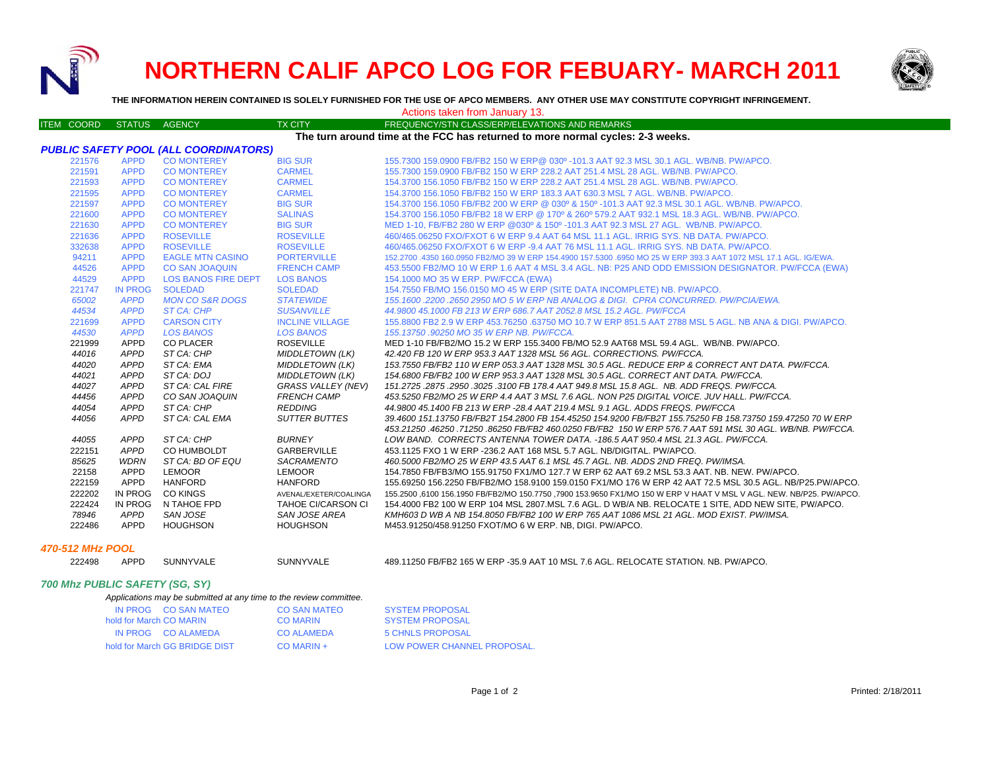

# **NORTHERN CALIF APCO LOG FOR FEBUARY- MARCH 2011**



**THE INFORMATION HEREIN CONTAINED IS SOLELY FURNISHED FOR THE USE OF APCO MEMBERS. ANY OTHER USE MAY CONSTITUTE COPYRIGHT INFRINGEMENT.**

| <b>ITEM COORD</b>                                                              | <b>STATUS</b>                                | AGENCY                     | <b>TX CITY</b>            | FREQUENCY/STN CLASS/ERP/ELEVATIONS AND REMARKS                                                                       |  |
|--------------------------------------------------------------------------------|----------------------------------------------|----------------------------|---------------------------|----------------------------------------------------------------------------------------------------------------------|--|
| The turn around time at the FCC has returned to more normal cycles: 2-3 weeks. |                                              |                            |                           |                                                                                                                      |  |
|                                                                                | <b>PUBLIC SAFETY POOL (ALL COORDINATORS)</b> |                            |                           |                                                                                                                      |  |
| 221576                                                                         | <b>APPD</b>                                  | <b>CO MONTEREY</b>         | <b>BIG SUR</b>            | 155.7300 159.0900 FB/FB2 150 W ERP@ 030º -101.3 AAT 92.3 MSL 30.1 AGL. WB/NB. PW/APCO.                               |  |
| 221591                                                                         | <b>APPD</b>                                  | <b>CO MONTEREY</b>         | <b>CARMEL</b>             | 155.7300 159.0900 FB/FB2 150 W ERP 228.2 AAT 251.4 MSL 28 AGL, WB/NB, PW/APCO,                                       |  |
| 221593                                                                         | <b>APPD</b>                                  | <b>CO MONTEREY</b>         | <b>CARMEL</b>             | 154,3700 156,1050 FB/FB2 150 W ERP 228.2 AAT 251.4 MSL 28 AGL, WB/NB, PW/APCO,                                       |  |
| 221595                                                                         | <b>APPD</b>                                  | <b>CO MONTEREY</b>         | <b>CARMEL</b>             | 154,3700 156,1050 FB/FB2 150 W ERP 183,3 AAT 630,3 MSL 7 AGL, WB/NB, PW/APCO,                                        |  |
| 221597                                                                         | <b>APPD</b>                                  | <b>CO MONTEREY</b>         | <b>BIG SUR</b>            | 154.3700 156.1050 FB/FB2 200 W ERP @ 030º & 150º -101.3 AAT 92.3 MSL 30.1 AGL. WB/NB. PW/APCO.                       |  |
| 221600                                                                         | <b>APPD</b>                                  | <b>CO MONTEREY</b>         | <b>SALINAS</b>            | 154,3700 156,1050 FB/FB2 18 W ERP @ 170° & 260° 579,2 AAT 932,1 MSL 18.3 AGL, WB/NB, PW/APCO,                        |  |
| 221630                                                                         | <b>APPD</b>                                  | <b>CO MONTEREY</b>         | <b>BIG SUR</b>            | MED 1-10, FB/FB2 280 W ERP @030° & 150° -101.3 AAT 92.3 MSL 27 AGL. WB/NB. PW/APCO.                                  |  |
| 221636                                                                         | <b>APPD</b>                                  | <b>ROSEVILLE</b>           | <b>ROSEVILLE</b>          | 460/465.06250 FXO/FXOT 6 W ERP 9.4 AAT 64 MSL 11.1 AGL, IRRIG SYS, NB DATA, PW/APCO,                                 |  |
| 332638                                                                         | <b>APPD</b>                                  | <b>ROSEVILLE</b>           | <b>ROSEVILLE</b>          | 460/465,06250 FXO/FXOT 6 W ERP -9.4 AAT 76 MSL 11.1 AGL, IRRIG SYS, NB DATA, PW/APCO,                                |  |
| 94211                                                                          | <b>APPD</b>                                  | <b>EAGLE MTN CASINO</b>    | <b>PORTERVILLE</b>        | 152,2700 .4350 160,0950 FB2/MO 39 W ERP 154,4900 157,5300 .6950 MO 25 W ERP 393.3 AAT 1072 MSL 17.1 AGL, IG/EWA      |  |
| 44526                                                                          | <b>APPD</b>                                  | <b>CO SAN JOAQUIN</b>      | <b>FRENCH CAMP</b>        | 453.5500 FB2/MO 10 W ERP 1.6 AAT 4 MSL 3.4 AGL. NB: P25 AND ODD EMISSION DESIGNATOR. PW/FCCA (EWA)                   |  |
| 44529                                                                          | <b>APPD</b>                                  | <b>LOS BANOS FIRE DEPT</b> | <b>LOS BANOS</b>          | 154.1000 MO 35 W ERP. PW/FCCA (EWA)                                                                                  |  |
| 221747                                                                         | <b>IN PROG</b>                               | <b>SOLEDAD</b>             | <b>SOLEDAD</b>            | 154.7550 FB/MO 156.0150 MO 45 W ERP (SITE DATA INCOMPLETE) NB. PW/APCO.                                              |  |
| 65002                                                                          | <b>APPD</b>                                  | <b>MON CO S&amp;R DOGS</b> | <b>STATEWIDE</b>          | 155.1600.2200.2650 2950 MO 5 W ERP NB ANALOG & DIGI. CPRA CONCURRED. PW/PCIA/EWA.                                    |  |
| 44534                                                                          | <b>APPD</b>                                  | <b>ST CA: CHP</b>          | <b>SUSANVILLE</b>         | 44.9800 45.1000 FB 213 W ERP 686.7 AAT 2052.8 MSL 15.2 AGL, PW/FCCA                                                  |  |
| 221699                                                                         | <b>APPD</b>                                  | <b>CARSON CITY</b>         | <b>INCLINE VILLAGE</b>    | 155,8800 FB2 2.9 W ERP 453,76250 .63750 MO 10.7 W ERP 851.5 AAT 2788 MSL 5 AGL. NB ANA & DIGI, PW/APCO,              |  |
| 44530                                                                          | <b>APPD</b>                                  | <b>LOS BANOS</b>           | <b>LOS BANOS</b>          | 155.13750.90250 MO 35 W ERP NB. PW/FCCA.                                                                             |  |
| 221999                                                                         | <b>APPD</b>                                  | <b>CO PLACER</b>           | <b>ROSEVILLE</b>          | MED 1-10 FB/FB2/MO 15.2 W ERP 155.3400 FB/MO 52.9 AAT68 MSL 59.4 AGL. WB/NB. PW/APCO.                                |  |
| 44016                                                                          | <b>APPD</b>                                  | ST CA: CHP                 | <b>MIDDLETOWN (LK)</b>    | 42.420 FB 120 W ERP 953.3 AAT 1328 MSL 56 AGL. CORRECTIONS. PW/FCCA.                                                 |  |
| 44020                                                                          | <b>APPD</b>                                  | ST CA: EMA                 | <b>MIDDLETOWN (LK)</b>    | 153.7550 FB/FB2 110 W ERP 053.3 AAT 1328 MSL 30.5 AGL. REDUCE ERP & CORRECT ANT DATA. PW/FCCA.                       |  |
| 44021                                                                          | APPD                                         | ST CA: DOJ                 | <b>MIDDLETOWN (LK)</b>    | 154.6800 FB/FB2 100 W ERP 953.3 AAT 1328 MSL 30.5 AGL. CORRECT ANT DATA. PW/FCCA.                                    |  |
| 44027                                                                          | APPD                                         | ST CA: CAL FIRE            | <b>GRASS VALLEY (NEV)</b> | .151.2725 .2875 .2950 .3025 .3100 FB 178.4 AAT 949.8 MSL 15.8 AGL .NB. ADD FREQS. PW/FCCA                            |  |
| 44456                                                                          | APPD                                         | CO SAN JOAQUIN             | <b>FRENCH CAMP</b>        | 453.5250 FB2/MO 25 W ERP 4.4 AAT 3 MSL 7.6 AGL. NON P25 DIGITAL VOICE. JUV HALL. PW/FCCA.                            |  |
| 44054                                                                          | APPD                                         | ST CA: CHP                 | <b>REDDING</b>            | 44.9800 45.1400 FB 213 W ERP -28.4 AAT 219.4 MSL 9.1 AGL. ADDS FREQS. PW/FCCA                                        |  |
| 44056                                                                          | APPD                                         | ST CA: CAL EMA             | <b>SUTTER BUTTES</b>      | 39.4600 151.13750 FB/FB2T 154.2800 FB 154.45250 154.9200 FB/FB2T 155.75250 FB 158.73750 159.47250 70 W ERP           |  |
|                                                                                |                                              |                            |                           | 453.21250 .46250 .71250 .86250 FB/FB2 460.0250 FB/FB2 150 W ERP 576.7 AAT 591 MSL 30 AGL. WB/NB. PW/FCCA.            |  |
| 44055                                                                          | APPD                                         | ST CA: CHP                 | <b>BURNEY</b>             | LOW BAND. CORRECTS ANTENNA TOWER DATA. -186.5 AAT 950.4 MSL 21.3 AGL. PW/FCCA.                                       |  |
| 222151                                                                         | APPD                                         | CO HUMBOLDT                | GARBERVILLE               | 453.1125 FXO 1 W ERP - 236.2 AAT 168 MSL 5.7 AGL. NB/DIGITAL. PW/APCO.                                               |  |
| 85625                                                                          | WDRN                                         | ST CA: BD OF EQU           | SACRAMENTO                | 460.5000 FB2/MO 25 W ERP 43.5 AAT 6.1 MSL 45.7 AGL. NB. ADDS 2ND FREQ. PW/IMSA.                                      |  |
| 22158                                                                          | APPD                                         | <b>LEMOOR</b>              | <b>LEMOOR</b>             | 154.7850 FB/FB3/MO 155.91750 FX1/MO 127.7 W ERP 62 AAT 69.2 MSL 53.3 AAT. NB. NEW. PW/APCO.                          |  |
| 222159                                                                         | APPD                                         | <b>HANFORD</b>             | <b>HANFORD</b>            | 155.69250 156.2250 FB/FB2/MO 158.9100 159.0150 FX1/MO 176 W ERP 42 AAT 72.5 MSL 30.5 AGL. NB/P25.PW/APCO.            |  |
| 222202                                                                         | IN PROG                                      | <b>CO KINGS</b>            | AVENAL/EXETER/COALINGA    | 155.2500 ,6100 156.1950 FB/FB2/MO 150.7750 ,7900 153.9650 FX1/MO 150 W ERP V HAAT V MSL V AGL. NEW. NB/P25. PW/APCO. |  |
| 222424                                                                         | IN PROG                                      | N TAHOE FPD                | <b>TAHOE CI/CARSON CI</b> | 154.4000 FB2 100 W ERP 104 MSL 2807 MSL 7.6 AGL. D WB/A NB. RELOCATE 1 SITE, ADD NEW SITE, PW/APCO.                  |  |
| 78946                                                                          | APPD                                         | SAN JOSE                   | SAN JOSE AREA             | KMH603 D WB A NB 154.8050 FB/FB2 100 W ERP 765 AAT 1086 MSL 21 AGL. MOD EXIST. PW/IMSA.                              |  |
| 222486                                                                         | APPD                                         | <b>HOUGHSON</b>            | <b>HOUGHSON</b>           | M453.91250/458.91250 FXOT/MO 6 W ERP. NB, DIGI. PW/APCO.                                                             |  |
| <b>470-512 MHz POOL</b>                                                        |                                              |                            |                           |                                                                                                                      |  |

# *700 Mhz PUBLIC SAFETY (SG, SY)*

|  |  | Applications may be submitted at any time to the review committee. |
|--|--|--------------------------------------------------------------------|

|                         | IN PROG CO SAN MATEO          | <b>CO SAN MATEO</b> | <b>SYSTEM PROPOSAL</b>      |
|-------------------------|-------------------------------|---------------------|-----------------------------|
| hold for March CO MARIN |                               | <b>CO MARIN</b>     | <b>SYSTEM PROPOSAL</b>      |
|                         | IN PROG CO ALAMEDA            | CO ALAMEDA          | 5 CHNLS PROPOSAL            |
|                         | hold for March GG BRIDGE DIST | $CO$ MARIN +        | LOW POWER CHANNEL PROPOSAL. |
|                         |                               |                     |                             |

APPD SUNNYVALE SUNNYVALE 489.11250 FB/FB2 165 W ERP -35.9 AAT 10 MSL 7.6 AGL. RELOCATE STATION. NB. PW/APCO.